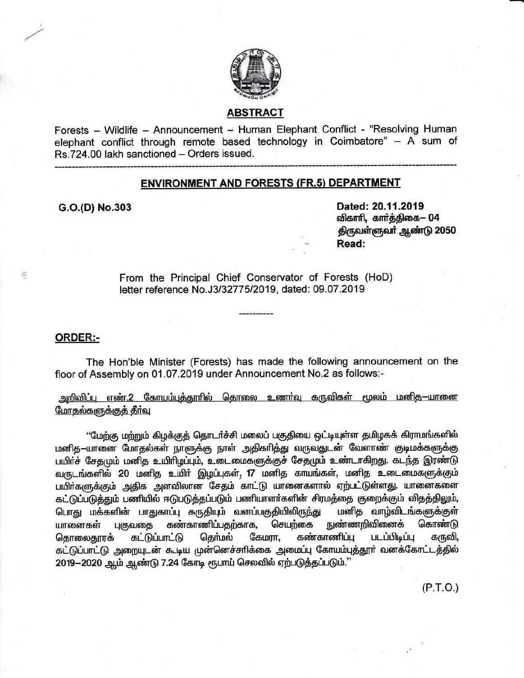

# **ABSTRACT**

Forests - Wildlife - Announcement - Human Elephant Conflict - "Resolving Human elephant conflict through remote based technology in Coimbatore" - A sum of Rs.724.00 lakh sanctioned - Orders issued.

### **ENVIRONMENT AND FORESTS (FR.5) DEPARTMENT**

G.O.(D) No.303

Dated: 20.11.2019 விகாரி, கார்த்திகை— 04 திருவள்ளுவர் ஆண்டு 2050 Read:

From the Principal Chief Conservator of Forests (HoD) letter reference No.J3/32775/2019, dated: 09.07.2019

#### ORDER:-

高

The Hon'ble Minister (Forests) has made the following announcement on the floor of Assembly on 01.07.2019 under Announcement No.2 as follows:-

<u>அறிவிப்பு எண்.2 கோயம்புத்தூரில் தொலை உணர்வு கருவிகள் மூலம் மனித—யானை </u> <u>மோதல்களுக்குக் தீர்வ</u>

''மேற்கு மற்றும் கிழக்குத் தொடர்ச்சி மலைப் பகுதியை ஒட்டியுள்ள தமிழகக் கிராமங்களில் மனித—யானை மோதல்கள் நாளுக்கு நாள் அதிகரித்து வருவதுடன் வேளாண் குடிமக்களுக்கு பயிர்ச் சேதமும் மனித உயிரிழப்பும், உடைமைகளுக்குச் சேதமும் உண்டாகிறது. கடந்த இரண்டு வருடங்களில் 20 மனித உயிர் இழப்புகள், 17 மனித காயங்கள், மனித உடைமைகளுக்கும் பயிர்களுக்கும் அதிக அளவிலான சேதம் காட்டு யானைகளால் ஏற்பட்டுள்ளது. யானைகளை கட்டுப்படுத்தும் பணியில் ஈடுபடுத்தப்படும் பணியாளர்களின் சிரமத்தை குறைக்கும் விதத்திலும், பொது மக்களின் பாதுகாப்பு கருதியும் வனப்பகுதியிலிருந்து மனித வாழ்விடங்களுக்குள் நுண்ணறிவினைக் கண்காணிப்பதற்காக, செயற்கை யானைகள் புகுவதை கொண்டு தொலைதூரக் கட்டுப்பாட்டு தொ்மல் கேமரா, கண்காணிப்பு படப்பிடிப்பு கருவி, கட்டுப்பாட்டு அறையுடன் கூடிய முன்னெச்சரிக்கை அமைப்பு கோயம்புத்தூர் வனக்கோட்டத்தில் 2019-2020 ஆம் ஆண்டு 7.24 கோடி ரூபாய் செலவில் ஏற்படுத்தப்படும்."

 $(P.T.O.)$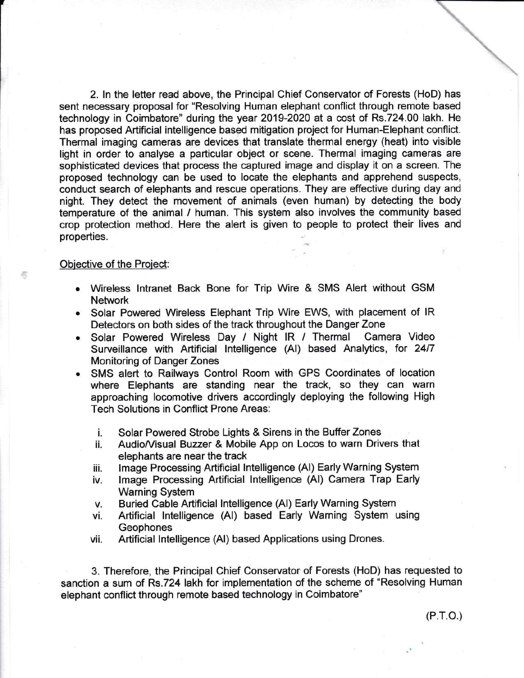2. In the letter read above, the Principal Chief Conservator of Forests (HoD) has sent necessary proposal for "Resolving Human elephant conflict through remote based technology in Coimbatore" during the year 2019-2020 at a cost of Rs.724.00 lakh. He has proposed Artificial intelligence based mitigation project for Human-Elephant conflict. Thermal imaging cameras are devices that translate thermal energy (heat) into visible light in order to analyse a particular object or scene. Thermal imaging cameras are sophisticated devices that process the captured image and display it on a screen. The proposed technology can be used to locate the elephants and apprehend suspects, conduct search of elephants and rescue operations. They are effective during day and night. They detect the movement of animals (even human) by detecting the body temperature of the animal / human. This system also involves the community based crop protection method. Here the alert is given to people to protect their lives and properties.

### Obiective of the Project:

6

- Wireless Intranet Back Bone for Trip Wire & SMS Alert without GSM Network
- . Solar Powered Wireless Elephant Trip Wire EWS, with placement of lR Detectors on both sides of the track throughout the Danger Zone
- . Solar Powered Wireless Day / Night lR / Thermal Camera Video Surveillance with Artificial Intelligence (AI) based Analytics, for 24/7 Monitoring of Danger Zones
- . SMS alert to Railways Control Room with GPS Coordinates of location where Elephants are standing near the track, so they can warn approaching locomotive drivers accordingly deploying the following High Tech Solutions in Conflict Prone Areas:
	- i. Solar Powered Strobe Lights & Sirens in the Buffer Zones
	- Audio/Visual Buzzer & Mobile App on Locos to warn Drivers that elephants are near the track
	- iii. Image Processing Artificial Intelligence (AI) Early Warning System<br>iv. Image Processing Artificial Intelligence (AI) Camera Trap Early
	- Image Processing Artificial Intelligence (AI) Camera Trap Early Warning System
	- v. Buried Cable Artificial lntelligence (Al) Early Warning System
	- vi. Artificial lntelligence (Al) based Early Warning System using Geophones vii. Artificial lntelligence (Al) based Applications using Drones.
	-

3. Therefore, the Principal Chief Conservator of Forests (HoD) has requested to sanction a sum of Rs.724 lakh for implementation of the scheme of "Resolving Human elephant conflict through remote based technology in Coimbatore"

 $\ddot{\phantom{a}}$ 

 $\overline{\phantom{a}}$